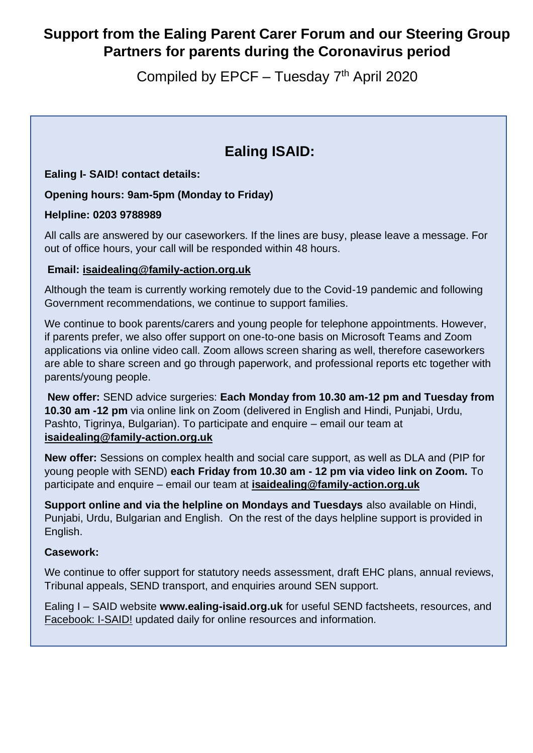# **Support from the Ealing Parent Carer Forum and our Steering Group Partners for parents during the Coronavirus period**

Compiled by EPCF - Tuesday 7<sup>th</sup> April 2020

# **Ealing ISAID:**

### **Ealing I- SAID! contact details:**

### **Opening hours: 9am-5pm (Monday to Friday)**

### **Helpline: 0203 9788989**

All calls are answered by our caseworkers. If the lines are busy, please leave a message. For out of office hours, your call will be responded within 48 hours.

### **Email: [isaidealing@family-action.org.uk](mailto:isaidealing@family-action.org.uk)**

Although the team is currently working remotely due to the Covid-19 pandemic and following Government recommendations, we continue to support families.

We continue to book parents/carers and young people for telephone appointments. However, if parents prefer, we also offer support on one-to-one basis on Microsoft Teams and Zoom applications via online video call. Zoom allows screen sharing as well, therefore caseworkers are able to share screen and go through paperwork, and professional reports etc together with parents/young people.

**New offer:** SEND advice surgeries: **Each Monday from 10.30 am-12 pm and Tuesday from 10.30 am -12 pm** via online link on Zoom (delivered in English and Hindi, Punjabi, Urdu, Pashto, Tigrinya, Bulgarian). To participate and enquire – email our team at **[isaidealing@family-action.org.uk](mailto:isaidealing@family-action.org.uk)**

**New offer:** Sessions on complex health and social care support, as well as DLA and (PIP for young people with SEND) **each Friday from 10.30 am - 12 pm via video link on Zoom.** To participate and enquire – email our team at **[isaidealing@family-action.org.uk](mailto:isaidealing@family-action.org.uk)**

**Support online and via the helpline on Mondays and Tuesdays** also available on Hindi, Punjabi, Urdu, Bulgarian and English. On the rest of the days helpline support is provided in English.

#### **Casework:**

We continue to offer support for statutory needs assessment, draft EHC plans, annual reviews, Tribunal appeals, SEND transport, and enquiries around SEN support.

Ealing I – SAID website **www.ealing-isaid.org.uk** for useful SEND factsheets, resources, and [Facebook: I-SAID!](https://www.facebook.com/groups/1221653994667021/) updated daily for online resources and information.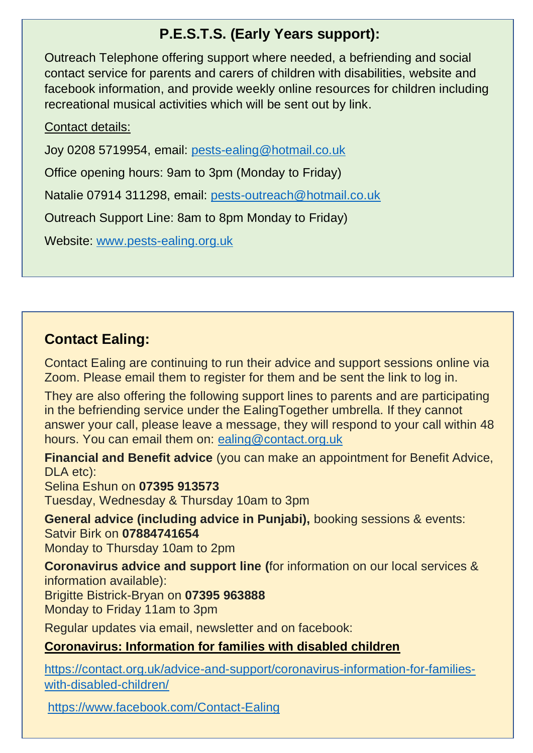# **P.E.S.T.S. (Early Years support):**

Outreach Telephone offering support where needed, a befriending and social contact service for parents and carers of children with disabilities, website and facebook information, and provide weekly online resources for children including recreational musical activities which will be sent out by link.

## Contact details:

Joy 0208 5719954, email: [pests-ealing@hotmail.co.uk](mailto:pests-ealing@hotmail.co.uk)

Office opening hours: 9am to 3pm (Monday to Friday)

Natalie 07914 311298, email: [pests-outreach@hotmail.co.uk](mailto:pests-outreach@hotmail.co.uk)

Outreach Support Line: 8am to 8pm Monday to Friday)

Website: [www.pests-ealing.org.uk](http://www.pests-ealing.org.uk/)

# **Contact Ealing:**

Contact Ealing are continuing to run their advice and support sessions online via Zoom. Please email them to register for them and be sent the link to log in.

They are also offering the following support lines to parents and are participating in the befriending service under the EalingTogether umbrella. If they cannot answer your call, please leave a message, they will respond to your call within 48 hours. You can email them on: [ealing@contact.org.uk](mailto:ealing@contact.org.uk)

**Financial and Benefit advice** (you can make an appointment for Benefit Advice, DLA etc):

Selina Eshun on **07395 913573**

Tuesday, Wednesday & Thursday 10am to 3pm

**General advice (including advice in Punjabi),** booking sessions & events: Satvir Birk on **07884741654**

Monday to Thursday 10am to 2pm

**Coronavirus advice and support line (**for information on our local services & information available):

Brigitte Bistrick-Bryan on **07395 963888**

Monday to Friday 11am to 3pm

Regular updates via email, newsletter and on facebook:

## **Coronavirus: Information for families with disabled children**

[https://contact.org.uk/advice-and-support/coronavirus-information-for-families](https://contact.org.uk/advice-and-support/coronavirus-information-for-families-with-disabled-children/)[with-disabled-children/](https://contact.org.uk/advice-and-support/coronavirus-information-for-families-with-disabled-children/)

<https://www.facebook.com/Contact-Ealing>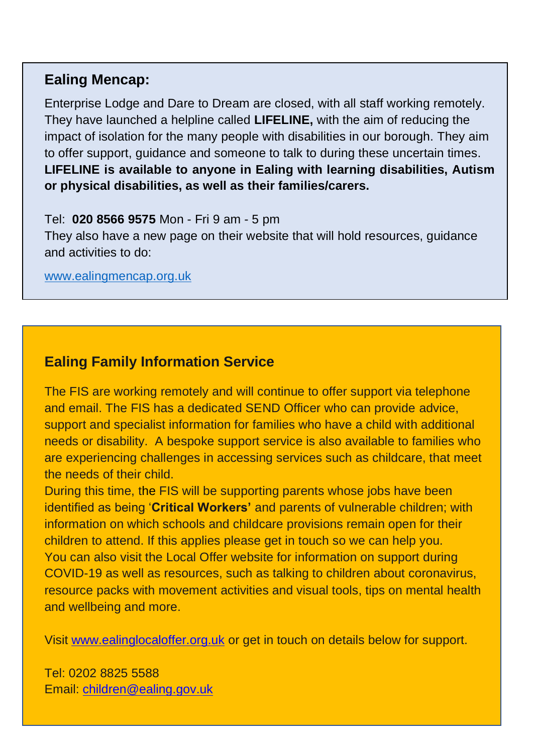## **Ealing Mencap:**

Enterprise Lodge and Dare to Dream are closed, with all staff working remotely. They have launched a helpline called **LIFELINE,** with the aim of reducing the impact of isolation for the many people with disabilities in our borough. They aim to offer support, guidance and someone to talk to during these uncertain times. **LIFELINE is available to anyone in Ealing with learning disabilities, Autism or physical disabilities, as well as their families/carers.**

### Tel: **020 8566 9575** Mon - Fri 9 am - 5 pm

They also have a new page on their website that will hold resources, guidance and activities to do:

[www.ealingmencap.org.uk](http://www.ealingmencap.org.uk/)

## **Ealing Family Information Service**

The FIS are working remotely and will continue to offer support via telephone and email. The FIS has a dedicated SEND Officer who can provide advice, support and specialist information for families who have a child with additional needs or disability. A bespoke support service is also available to families who are experiencing challenges in accessing services such as childcare, that meet the needs of their child.

During this time, the FIS will be supporting parents whose jobs have been identified as being '**Critical Workers'** and parents of vulnerable children; with information on which schools and childcare provisions remain open for their children to attend. If this applies please get in touch so we can help you. You can also visit the Local Offer website for information on support during COVID-19 as well as resources, such as talking to children about coronavirus, resource packs with movement activities and visual tools, tips on mental health and wellbeing and more.

Visit [www.ealinglocaloffer.org.uk](http://www.ealinglocaloffer.org.uk/) or get in touch on details below for support.

Tel: 0202 8825 5588 Email: [children@ealing.gov.uk](mailto:children@ealing.gov.uk)